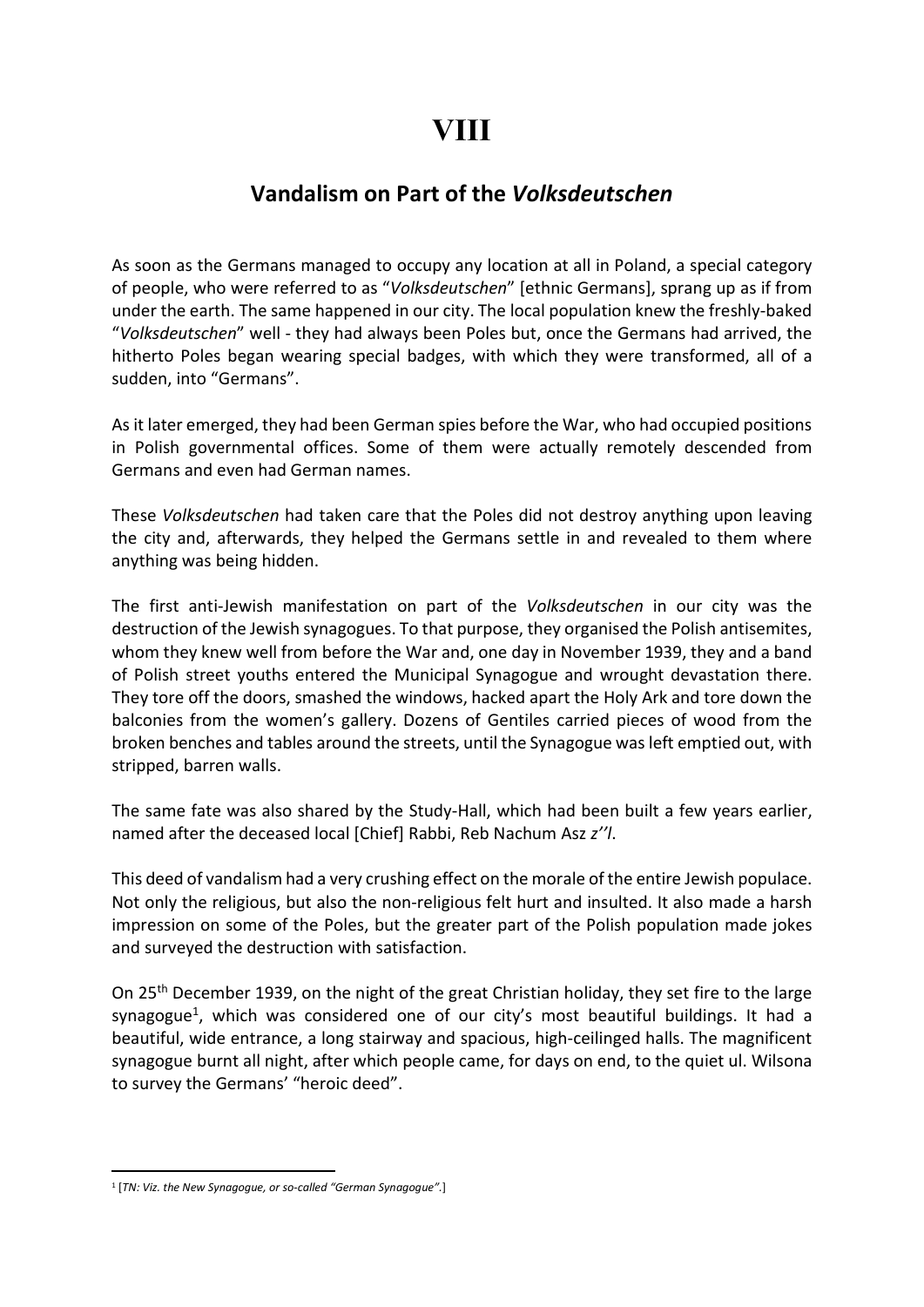## Vandalism on Part of the Volksdeutschen

As soon as the Germans managed to occupy any location at all in Poland, a special category of people, who were referred to as "Volksdeutschen" [ethnic Germans], sprang up as if from under the earth. The same happened in our city. The local population knew the freshly-baked "Volksdeutschen" well - they had always been Poles but, once the Germans had arrived, the hitherto Poles began wearing special badges, with which they were transformed, all of a sudden, into "Germans".

As it later emerged, they had been German spies before the War, who had occupied positions in Polish governmental offices. Some of them were actually remotely descended from Germans and even had German names.

These Volksdeutschen had taken care that the Poles did not destroy anything upon leaving the city and, afterwards, they helped the Germans settle in and revealed to them where anything was being hidden.

The first anti-Jewish manifestation on part of the Volksdeutschen in our city was the destruction of the Jewish synagogues. To that purpose, they organised the Polish antisemites, whom they knew well from before the War and, one day in November 1939, they and a band of Polish street youths entered the Municipal Synagogue and wrought devastation there. They tore off the doors, smashed the windows, hacked apart the Holy Ark and tore down the balconies from the women's gallery. Dozens of Gentiles carried pieces of wood from the broken benches and tables around the streets, until the Synagogue was left emptied out, with stripped, barren walls.

The same fate was also shared by the Study-Hall, which had been built a few years earlier, named after the deceased local [Chief] Rabbi, Reb Nachum Asz z''l.

This deed of vandalism had a very crushing effect on the morale of the entire Jewish populace. Not only the religious, but also the non-religious felt hurt and insulted. It also made a harsh impression on some of the Poles, but the greater part of the Polish population made jokes and surveyed the destruction with satisfaction.

On 25<sup>th</sup> December 1939, on the night of the great Christian holiday, they set fire to the large synagogue<sup>1</sup>, which was considered one of our city's most beautiful buildings. It had a beautiful, wide entrance, a long stairway and spacious, high-ceilinged halls. The magnificent synagogue burnt all night, after which people came, for days on end, to the quiet ul. Wilsona to survey the Germans' "heroic deed".

<sup>&</sup>lt;sup>1</sup> [TN: Viz. the New Synagogue, or so-called "German Synagogue".]